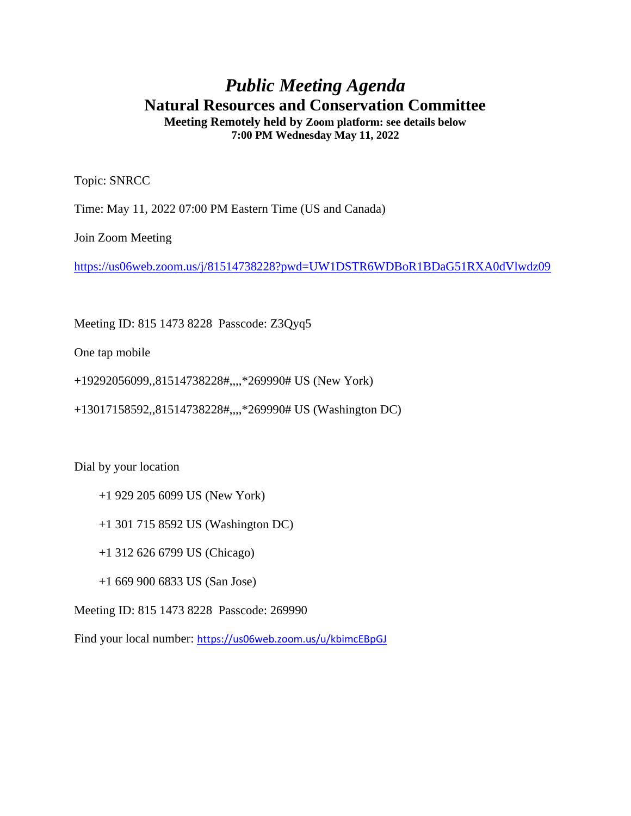## *Public Meeting Agenda* **Natural Resources and Conservation Committee Meeting Remotely held by Zoom platform: see details below**

**7:00 PM Wednesday May 11, 2022**

Topic: SNRCC

Time: May 11, 2022 07:00 PM Eastern Time (US and Canada)

Join Zoom Meeting

<https://us06web.zoom.us/j/81514738228?pwd=UW1DSTR6WDBoR1BDaG51RXA0dVlwdz09>

Meeting ID: 815 1473 8228 Passcode: Z3Qyq5

One tap mobile

+19292056099,,81514738228#,,,,\*269990# US (New York)

+13017158592,,81514738228#,,,,\*269990# US (Washington DC)

Dial by your location

- +1 929 205 6099 US (New York)
- +1 301 715 8592 US (Washington DC)
- +1 312 626 6799 US (Chicago)
- +1 669 900 6833 US (San Jose)

Meeting ID: 815 1473 8228 Passcode: 269990

Find your local number: <https://us06web.zoom.us/u/kbimcEBpGJ>